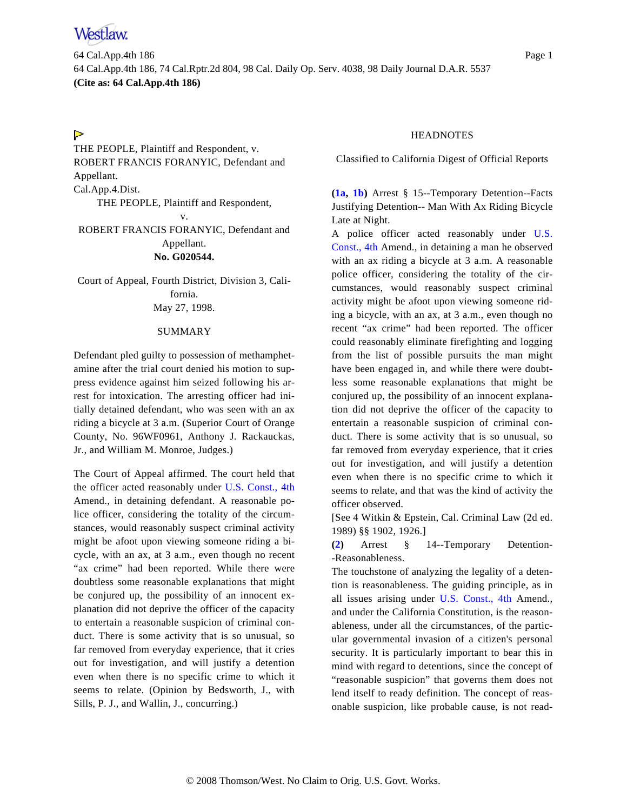64 Cal.App.4th 186 Page 1 64 Cal.App.4th 186, 74 Cal.Rptr.2d 804, 98 Cal. Daily Op. Serv. 4038, 98 Daily Journal D.A.R. 5537 **(Cite as: 64 Cal.App.4th 186)**

# $\triangleright$

<span id="page-0-0"></span>THE PEOPLE, Plaintiff and Respondent, v. ROBERT FRANCIS FORANYIC, Defendant and Appellant. Cal.App.4.Dist. THE PEOPLE, Plaintiff and Respondent, v. ROBERT FRANCIS FORANYIC, Defendant and Appellant.

### **No. G020544.**

Court of Appeal, Fourth District, Division 3, California. May 27, 1998.

### SUMMARY

Defendant pled guilty to possession of methamphetamine after the trial court denied his motion to suppress evidence against him seized following his arrest for intoxication. The arresting officer had initially detained defendant, who was seen with an ax riding a bicycle at 3 a.m. (Superior Court of Orange County, No. 96WF0961, Anthony J. Rackauckas, Jr., and William M. Monroe, Judges.)

<span id="page-0-1"></span>The Court of Appeal affirmed. The court held that the officer acted reasonably under [U.S. Const., 4th](http://www.westlaw.com/Find/Default.wl?rs=FIPI1.0&vr=2.0&DB=1000546&DocName=USCOAMENDIV&FindType=L) Amend., in detaining defendant. A reasonable police officer, considering the totality of the circumstances, would reasonably suspect criminal activity might be afoot upon viewing someone riding a bicycle, with an ax, at 3 a.m., even though no recent "ax crime" had been reported. While there were doubtless some reasonable explanations that might be conjured up, the possibility of an innocent explanation did not deprive the officer of the capacity to entertain a reasonable suspicion of criminal conduct. There is some activity that is so unusual, so far removed from everyday experience, that it cries out for investigation, and will justify a detention even when there is no specific crime to which it seems to relate. (Opinion by Bedsworth, J., with Sills, P. J., and Wallin, J., concurring.)

# **HEADNOTES**

Classified to California Digest of Official Reports

**[\(1a,](#page-1-0) [1b](#page-2-0))** Arrest § 15--Temporary Detention--Facts Justifying Detention-- Man With Ax Riding Bicycle Late at Night.

A police officer acted reasonably under [U.S.](http://www.westlaw.com/Find/Default.wl?rs=FIPI1.0&vr=2.0&DB=1000546&DocName=USCOAMENDIV&FindType=L) [Const., 4th](http://www.westlaw.com/Find/Default.wl?rs=FIPI1.0&vr=2.0&DB=1000546&DocName=USCOAMENDIV&FindType=L) Amend., in detaining a man he observed with an ax riding a bicycle at 3 a.m. A reasonable police officer, considering the totality of the circumstances, would reasonably suspect criminal activity might be afoot upon viewing someone riding a bicycle, with an ax, at 3 a.m., even though no recent "ax crime" had been reported. The officer could reasonably eliminate firefighting and logging from the list of possible pursuits the man might have been engaged in, and while there were doubtless some reasonable explanations that might be conjured up, the possibility of an innocent explanation did not deprive the officer of the capacity to entertain a reasonable suspicion of criminal conduct. There is some activity that is so unusual, so far removed from everyday experience, that it cries out for investigation, and will justify a detention even when there is no specific crime to which it seems to relate, and that was the kind of activity the officer observed.

[See 4 Witkin & Epstein, Cal. Criminal Law (2d ed. 1989) §§ 1902, 1926.]

**[\(2\)](#page-1-1)** Arrest § 14--Temporary Detention- -Reasonableness.

The touchstone of analyzing the legality of a detention is reasonableness. The guiding principle, as in all issues arising under [U.S. Const., 4t](http://www.westlaw.com/Find/Default.wl?rs=FIPI1.0&vr=2.0&DB=1000546&DocName=USCOAMENDIV&FindType=L)h Amend., and under the California Constitution, is the reasonableness, under all the circumstances, of the particular governmental invasion of a citizen's personal security. It is particularly important to bear this in mind with regard to detentions, since the concept of "reasonable suspicion" that governs them does not lend itself to ready definition. The concept of reasonable suspicion, like probable cause, is not read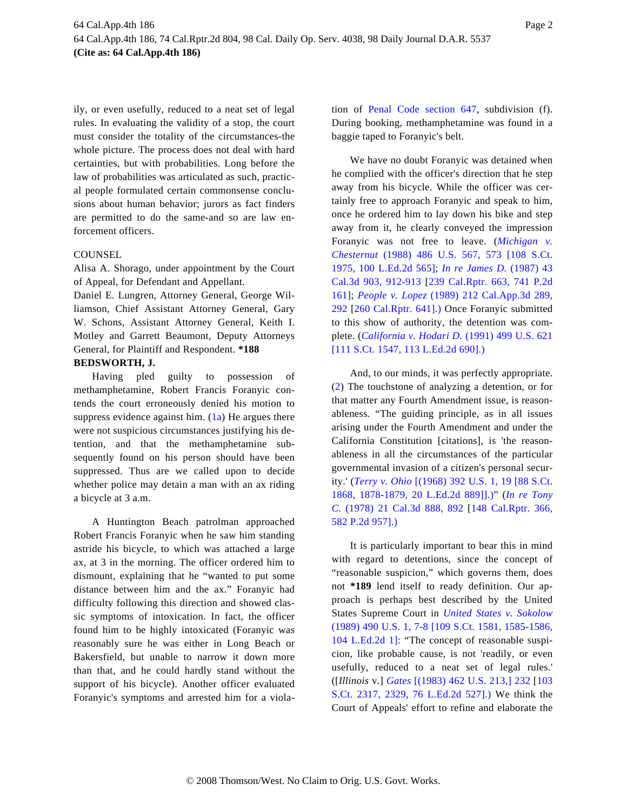ily, or even usefully, reduced to a neat set of legal rules. In evaluating the validity of a stop, the court must consider the totality of the circumstances-the whole picture. The process does not deal with hard certainties, but with probabilities. Long before the law of probabilities was articulated as such, practical people formulated certain commonsense conclusions about human behavior; jurors as fact finders are permitted to do the same-and so are law enforcement officers.

# **COUNSEL**

Alisa A. Shorago, under appointment by the Court of Appeal, for Defendant and Appellant.

Daniel E. Lungren, Attorney General, George Williamson, Chief Assistant Attorney General, Gary W. Schons, Assistant Attorney General, Keith I. Motley and Garrett Beaumont, Deputy Attorneys General, for Plaintiff and Respondent. **\*188**

# **BEDSWORTH, J.**

<span id="page-1-1"></span><span id="page-1-0"></span>Having pled guilty to possession of methamphetamine, Robert Francis Foranyic contends the court erroneously denied his motion to suppress evidence against him.  $(1a)$  He argues there were not suspicious circumstances justifying his detention, and that the methamphetamine subsequently found on his person should have been suppressed. Thus are we called upon to decide whether police may detain a man with an ax riding a bicycle at 3 a.m.

A Huntington Beach patrolman approached Robert Francis Foranyic when he saw him standing astride his bicycle, to which was attached a large ax, at 3 in the morning. The officer ordered him to dismount, explaining that he "wanted to put some distance between him and the ax." Foranyic had difficulty following this direction and showed classic symptoms of intoxication. In fact, the officer found him to be highly intoxicated (Foranyic was reasonably sure he was either in Long Beach or Bakersfield, but unable to narrow it down more than that, and he could hardly stand without the support of his bicycle). Another officer evaluated Foranyic's symptoms and arrested him for a violation of [Penal Code section 6](http://www.westlaw.com/Find/Default.wl?rs=FIPI1.0&vr=2.0&DB=1000298&DocName=CAPES647&FindType=L)47, subdivision (f). During booking, methamphetamine was found in a baggie taped to Foranyic's belt.

We have no doubt Foranyic was detained when he complied with the officer's direction that he step away from his bicycle. While the officer was certainly free to approach Foranyic and speak to him, once he ordered him to lay down his bike and step away from it, he clearly conveyed the impression Foranyic was not free to leave. (*[Michigan v](http://www.westlaw.com/Find/Default.wl?rs=FIPI1.0&vr=2.0&DB=708&FindType=Y&SerialNum=1988077057). [Chesternut](http://www.westlaw.com/Find/Default.wl?rs=FIPI1.0&vr=2.0&DB=708&FindType=Y&SerialNum=1988077057)* [\(1988\) 486 U.S. 567, 573 \[108 S](http://www.westlaw.com/Find/Default.wl?rs=FIPI1.0&vr=2.0&DB=708&FindType=Y&SerialNum=1988077057).Ct. [1975, 100 L.Ed.2d 565](http://www.westlaw.com/Find/Default.wl?rs=FIPI1.0&vr=2.0&DB=708&FindType=Y&SerialNum=1988077057)]; *[In re James D](http://www.westlaw.com/Find/Default.wl?rs=FIPI1.0&vr=2.0&DB=233&DocName=43CALIF3D903&FindType=Y&ReferencePositionType=S&ReferencePosition=912).* [\(1987\) 43](http://www.westlaw.com/Find/Default.wl?rs=FIPI1.0&vr=2.0&DB=233&DocName=43CALIF3D903&FindType=Y&ReferencePositionType=S&ReferencePosition=912) [Cal.3d 903, 912-91](http://www.westlaw.com/Find/Default.wl?rs=FIPI1.0&vr=2.0&DB=233&DocName=43CALIF3D903&FindType=Y&ReferencePositionType=S&ReferencePosition=912)3 [\[239 Cal.Rptr. 663, 741 P.2d](http://www.westlaw.com/Find/Default.wl?rs=FIPI1.0&vr=2.0&DB=661&FindType=Y&SerialNum=1987111521) [161\];](http://www.westlaw.com/Find/Default.wl?rs=FIPI1.0&vr=2.0&DB=661&FindType=Y&SerialNum=1987111521) *[People v. Lope](http://www.westlaw.com/Find/Default.wl?rs=FIPI1.0&vr=2.0&DB=226&DocName=212CAAPP3D289&FindType=Y&ReferencePositionType=S&ReferencePosition=292)z* [\(1989\) 212 Cal.App.3d 289](http://www.westlaw.com/Find/Default.wl?rs=FIPI1.0&vr=2.0&DB=226&DocName=212CAAPP3D289&FindType=Y&ReferencePositionType=S&ReferencePosition=292), [292](http://www.westlaw.com/Find/Default.wl?rs=FIPI1.0&vr=2.0&DB=226&DocName=212CAAPP3D289&FindType=Y&ReferencePositionType=S&ReferencePosition=292) [\[260 Cal.Rptr. 641\].](http://www.westlaw.com/Find/Default.wl?rs=FIPI1.0&vr=2.0&DB=227&FindType=Y&SerialNum=1989109995)) Once Foranyic submitted to this show of authority, the detention was complete. (*[California v. Hodari D](http://www.westlaw.com/Find/Default.wl?rs=FIPI1.0&vr=2.0&DB=708&FindType=Y&SerialNum=1991078910).* [\(1991\) 499 U.S. 621](http://www.westlaw.com/Find/Default.wl?rs=FIPI1.0&vr=2.0&DB=708&FindType=Y&SerialNum=1991078910) [\[111 S.Ct. 1547, 113 L.Ed.2d 690\].\)](http://www.westlaw.com/Find/Default.wl?rs=FIPI1.0&vr=2.0&DB=708&FindType=Y&SerialNum=1991078910)

And, to our minds, it was perfectly appropriate. [\(2\)](#page-0-1) The touchstone of analyzing a detention, or for that matter any Fourth Amendment issue, is reasonableness. "The guiding principle, as in all issues arising under the Fourth Amendment and under the California Constitution [citations], is 'the reasonableness in all the circumstances of the particular governmental invasion of a citizen's personal security.' (*[Terry v. Ohio](http://www.westlaw.com/Find/Default.wl?rs=FIPI1.0&vr=2.0&DB=708&FindType=Y&ReferencePositionType=S&SerialNum=1968131212&ReferencePosition=1878)* [\[\(1968\) 392 U.S. 1, 19 \[88 S.Ct.](http://www.westlaw.com/Find/Default.wl?rs=FIPI1.0&vr=2.0&DB=708&FindType=Y&ReferencePositionType=S&SerialNum=1968131212&ReferencePosition=1878) [1868, 1878-1879, 20 L.Ed.2d 889\]\]](http://www.westlaw.com/Find/Default.wl?rs=FIPI1.0&vr=2.0&DB=708&FindType=Y&ReferencePositionType=S&SerialNum=1968131212&ReferencePosition=1878).)" (*[In re Tony](http://www.westlaw.com/Find/Default.wl?rs=FIPI1.0&vr=2.0&DB=233&DocName=21CALIF3D888&FindType=Y&ReferencePositionType=S&ReferencePosition=892) [C.](http://www.westlaw.com/Find/Default.wl?rs=FIPI1.0&vr=2.0&DB=233&DocName=21CALIF3D888&FindType=Y&ReferencePositionType=S&ReferencePosition=892)* [\(1978\) 21 Cal.3d 888, 89](http://www.westlaw.com/Find/Default.wl?rs=FIPI1.0&vr=2.0&DB=233&DocName=21CALIF3D888&FindType=Y&ReferencePositionType=S&ReferencePosition=892)2 [\[148 Cal.Rptr. 366](http://www.westlaw.com/Find/Default.wl?rs=FIPI1.0&vr=2.0&DB=661&FindType=Y&SerialNum=1978130191), [582 P.2d 957\].\)](http://www.westlaw.com/Find/Default.wl?rs=FIPI1.0&vr=2.0&DB=661&FindType=Y&SerialNum=1978130191)

It is particularly important to bear this in mind with regard to detentions, since the concept of "reasonable suspicion," which governs them, does not **\*189** lend itself to ready definition. Our approach is perhaps best described by the United States Supreme Court in *[United States v. Sokolow](http://www.westlaw.com/Find/Default.wl?rs=FIPI1.0&vr=2.0&DB=708&FindType=Y&ReferencePositionType=S&SerialNum=1989048366&ReferencePosition=1585)* [\(1989\) 490 U.S. 1, 7-8 \[109 S.Ct. 1581, 1585-1586,](http://www.westlaw.com/Find/Default.wl?rs=FIPI1.0&vr=2.0&DB=708&FindType=Y&ReferencePositionType=S&SerialNum=1989048366&ReferencePosition=1585) [104 L.Ed.2d 1\]](http://www.westlaw.com/Find/Default.wl?rs=FIPI1.0&vr=2.0&DB=708&FindType=Y&ReferencePositionType=S&SerialNum=1989048366&ReferencePosition=1585): "The concept of reasonable suspicion, like probable cause, is not 'readily, or even usefully, reduced to a neat set of legal rules.' ([*Illinois* v.] *[Gates](http://www.westlaw.com/Find/Default.wl?rs=FIPI1.0&vr=2.0&DB=780&FindType=Y&ReferencePositionType=S&SerialNum=1983126672&ReferencePosition=232)* [\[\(1983\) 462 U.S. 213,\] 232](http://www.westlaw.com/Find/Default.wl?rs=FIPI1.0&vr=2.0&DB=780&FindType=Y&ReferencePositionType=S&SerialNum=1983126672&ReferencePosition=232) [\[103](http://www.westlaw.com/Find/Default.wl?rs=FIPI1.0&vr=2.0&DB=708&FindType=Y&ReferencePositionType=S&SerialNum=1983126672&ReferencePosition=2329) [S.Ct. 2317, 2329, 76 L.Ed.2d 527](http://www.westlaw.com/Find/Default.wl?rs=FIPI1.0&vr=2.0&DB=708&FindType=Y&ReferencePositionType=S&SerialNum=1983126672&ReferencePosition=2329)].) We think the Court of Appeals' effort to refine and elaborate the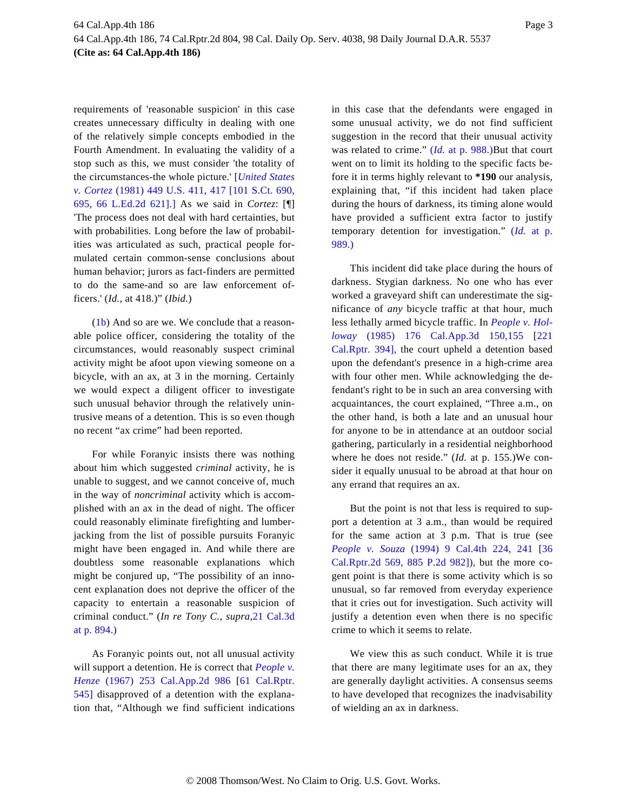requirements of 'reasonable suspicion' in this case creates unnecessary difficulty in dealing with one of the relatively simple concepts embodied in the Fourth Amendment. In evaluating the validity of a stop such as this, we must consider 'the totality of the circumstances-the whole picture.' [*[United States](http://www.westlaw.com/Find/Default.wl?rs=FIPI1.0&vr=2.0&DB=708&FindType=Y&ReferencePositionType=S&SerialNum=1981103158&ReferencePosition=695) [v. Cortez](http://www.westlaw.com/Find/Default.wl?rs=FIPI1.0&vr=2.0&DB=708&FindType=Y&ReferencePositionType=S&SerialNum=1981103158&ReferencePosition=695)* [\(1981\) 449 U.S. 411, 417 \[101 S.Ct. 690](http://www.westlaw.com/Find/Default.wl?rs=FIPI1.0&vr=2.0&DB=708&FindType=Y&ReferencePositionType=S&SerialNum=1981103158&ReferencePosition=695), [695, 66 L.Ed.2d 621\]](http://www.westlaw.com/Find/Default.wl?rs=FIPI1.0&vr=2.0&DB=708&FindType=Y&ReferencePositionType=S&SerialNum=1981103158&ReferencePosition=695).] As we said in *Cortez*: [¶] 'The process does not deal with hard certainties, but with probabilities. Long before the law of probabilities was articulated as such, practical people formulated certain common-sense conclusions about human behavior; jurors as fact-finders are permitted to do the same-and so are law enforcement officers.' (*Id.*, at 418.)" (*Ibid.*)

<span id="page-2-0"></span>[\(1b\)](#page-0-0) And so are we. We conclude that a reasonable police officer, considering the totality of the circumstances, would reasonably suspect criminal activity might be afoot upon viewing someone on a bicycle, with an ax, at 3 in the morning. Certainly we would expect a diligent officer to investigate such unusual behavior through the relatively unintrusive means of a detention. This is so even though no recent "ax crime" had been reported.

For while Foranyic insists there was nothing about him which suggested *criminal* activity, he is unable to suggest, and we cannot conceive of, much in the way of *noncriminal* activity which is accomplished with an ax in the dead of night. The officer could reasonably eliminate firefighting and lumberjacking from the list of possible pursuits Foranyic might have been engaged in. And while there are doubtless some reasonable explanations which might be conjured up, "The possibility of an innocent explanation does not deprive the officer of the capacity to entertain a reasonable suspicion of criminal conduct." (*In re Tony C.*, *supra*[,21 Cal.3d](http://www.westlaw.com/Find/Default.wl?rs=FIPI1.0&vr=2.0&DB=233&DocName=21CALIF3D894&FindType=Y&ReferencePositionType=S&ReferencePosition=894) [at p. 894.\)](http://www.westlaw.com/Find/Default.wl?rs=FIPI1.0&vr=2.0&DB=233&DocName=21CALIF3D894&FindType=Y&ReferencePositionType=S&ReferencePosition=894)

As Foranyic points out, not all unusual activity will support a detention. He is correct that *[People v.](http://www.westlaw.com/Find/Default.wl?rs=FIPI1.0&vr=2.0&DB=225&DocName=253CAAPP2D986&FindType=Y) [Henze](http://www.westlaw.com/Find/Default.wl?rs=FIPI1.0&vr=2.0&DB=225&DocName=253CAAPP2D986&FindType=Y)* [\(1967\) 253 Cal.App.2d 9](http://www.westlaw.com/Find/Default.wl?rs=FIPI1.0&vr=2.0&DB=225&DocName=253CAAPP2D986&FindType=Y)86 [\[61 Cal.Rptr](http://www.westlaw.com/Find/Default.wl?rs=FIPI1.0&vr=2.0&DB=227&FindType=Y&SerialNum=1967111389). [545\]](http://www.westlaw.com/Find/Default.wl?rs=FIPI1.0&vr=2.0&DB=227&FindType=Y&SerialNum=1967111389) disapproved of a detention with the explanation that, "Although we find sufficient indications

in this case that the defendants were engaged in some unusual activity, we do not find sufficient suggestion in the record that their unusual activity was related to crime." [\(](http://www.westlaw.com/Find/Default.wl?rs=FIPI1.0&vr=2.0&FindType=Y&SerialNum=1967111389)*[Id](http://www.westlaw.com/Find/Default.wl?rs=FIPI1.0&vr=2.0&FindType=Y&SerialNum=1967111389).* [at p. 988.](http://www.westlaw.com/Find/Default.wl?rs=FIPI1.0&vr=2.0&FindType=Y&SerialNum=1967111389))But that court went on to limit its holding to the specific facts before it in terms highly relevant to **\*190** our analysis, explaining that, "if this incident had taken place during the hours of darkness, its timing alone would have provided a sufficient extra factor to justify temporary detention for investigation." [\(](http://www.westlaw.com/Find/Default.wl?rs=FIPI1.0&vr=2.0&FindType=Y&SerialNum=1967111389)*[Id](http://www.westlaw.com/Find/Default.wl?rs=FIPI1.0&vr=2.0&FindType=Y&SerialNum=1967111389).* [at p](http://www.westlaw.com/Find/Default.wl?rs=FIPI1.0&vr=2.0&FindType=Y&SerialNum=1967111389). [989.\)](http://www.westlaw.com/Find/Default.wl?rs=FIPI1.0&vr=2.0&FindType=Y&SerialNum=1967111389)

This incident did take place during the hours of darkness. Stygian darkness. No one who has ever worked a graveyard shift can underestimate the significance of *any* bicycle traffic at that hour, much less lethally armed bicycle traffic. In *[People v. Hol](http://www.westlaw.com/Find/Default.wl?rs=FIPI1.0&vr=2.0&DB=226&DocName=176CAAPP3D150155&FindType=Y)[loway](http://www.westlaw.com/Find/Default.wl?rs=FIPI1.0&vr=2.0&DB=226&DocName=176CAAPP3D150155&FindType=Y)* [\(1985\) 176 Cal.App.3d 1](http://www.westlaw.com/Find/Default.wl?rs=FIPI1.0&vr=2.0&DB=226&DocName=176CAAPP3D150155&FindType=Y)50,155 [\[221](http://www.westlaw.com/Find/Default.wl?rs=FIPI1.0&vr=2.0&DB=227&FindType=Y&SerialNum=1985162924) [Cal.Rptr. 394\]](http://www.westlaw.com/Find/Default.wl?rs=FIPI1.0&vr=2.0&DB=227&FindType=Y&SerialNum=1985162924), the court upheld a detention based upon the defendant's presence in a high-crime area with four other men. While acknowledging the defendant's right to be in such an area conversing with acquaintances, the court explained, "Three a.m., on the other hand, is both a late and an unusual hour for anyone to be in attendance at an outdoor social gathering, particularly in a residential neighborhood where he does not reside." (*Id.* at p. 155.)We consider it equally unusual to be abroad at that hour on any errand that requires an ax.

But the point is not that less is required to support a detention at 3 a.m., than would be required for the same action at 3 p.m. That is true (see *[People v. Souz](http://www.westlaw.com/Find/Default.wl?rs=FIPI1.0&vr=2.0&DB=4040&DocName=9CAL4TH224&FindType=Y&ReferencePositionType=S&ReferencePosition=241)a* [\(1994\) 9 Cal.4th 224,](http://www.westlaw.com/Find/Default.wl?rs=FIPI1.0&vr=2.0&DB=4040&DocName=9CAL4TH224&FindType=Y&ReferencePositionType=S&ReferencePosition=241) 241 [\[36](http://www.westlaw.com/Find/Default.wl?rs=FIPI1.0&vr=2.0&DB=661&FindType=Y&SerialNum=1995020527) [Cal.Rptr.2d 569, 885 P.2d 982\]](http://www.westlaw.com/Find/Default.wl?rs=FIPI1.0&vr=2.0&DB=661&FindType=Y&SerialNum=1995020527)), but the more cogent point is that there is some activity which is so unusual, so far removed from everyday experience that it cries out for investigation. Such activity will justify a detention even when there is no specific crime to which it seems to relate.

We view this as such conduct. While it is true that there are many legitimate uses for an ax, they are generally daylight activities. A consensus seems to have developed that recognizes the inadvisability of wielding an ax in darkness.